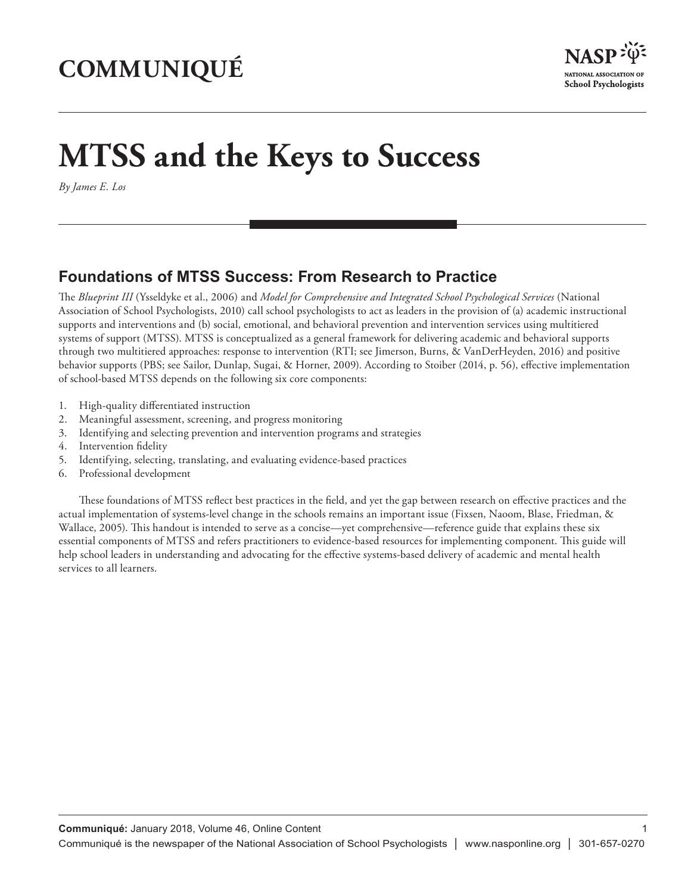## **COMMUNIQUÉ**



## **MTSS and the Keys to Success**

*By James E. Los*

## **Foundations of MTSS Success: From Research to Practice**

The *Blueprint III* (Ysseldyke et al., 2006) and *Model for Comprehensive and Integrated School Psychological Services* (National Association of School Psychologists, 2010) call school psychologists to act as leaders in the provision of (a) academic instructional supports and interventions and (b) social, emotional, and behavioral prevention and intervention services using multitiered systems of support (MTSS). MTSS is conceptualized as a general framework for delivering academic and behavioral supports through two multitiered approaches: response to intervention (RTI; see Jimerson, Burns, & VanDerHeyden, 2016) and positive behavior supports (PBS; see Sailor, Dunlap, Sugai, & Horner, 2009). According to Stoiber (2014, p. 56), effective implementation of school-based MTSS depends on the following six core components:

- 1. High-quality differentiated instruction
- 2. Meaningful assessment, screening, and progress monitoring
- 3. Identifying and selecting prevention and intervention programs and strategies
- 4. Intervention fidelity
- 5. Identifying, selecting, translating, and evaluating evidence-based practices
- 6. Professional development

These foundations of MTSS reflect best practices in the field, and yet the gap between research on effective practices and the actual implementation of systems-level change in the schools remains an important issue (Fixsen, Naoom, Blase, Friedman, & Wallace, 2005). This handout is intended to serve as a concise—yet comprehensive—reference guide that explains these six essential components of MTSS and refers practitioners to evidence-based resources for implementing component. This guide will help school leaders in understanding and advocating for the effective systems-based delivery of academic and mental health services to all learners.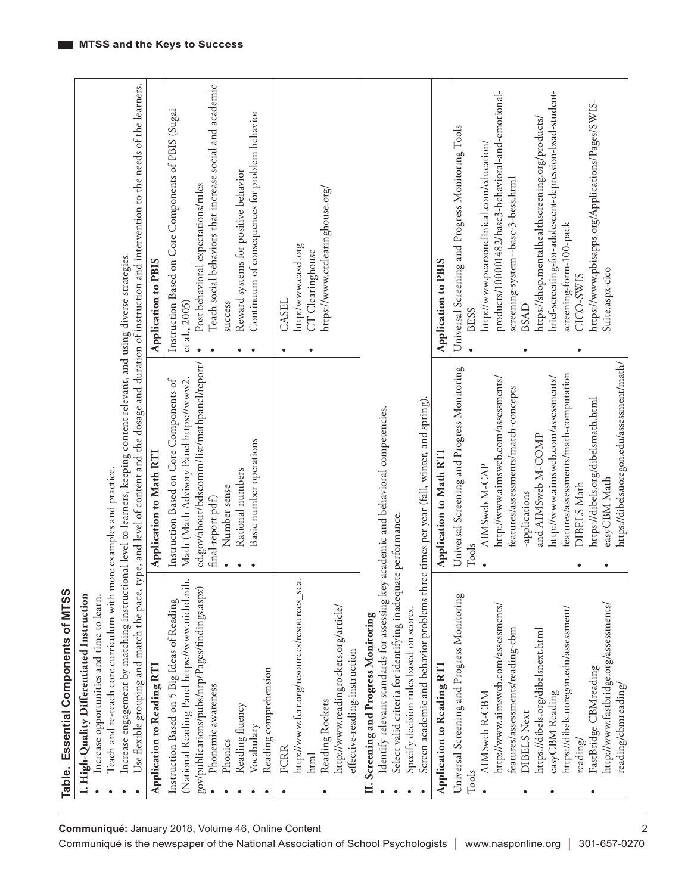| Increase opportunities and time to learn.                                                                                                      |                                                                                                                                                        |                                                                                                                                                                |
|------------------------------------------------------------------------------------------------------------------------------------------------|--------------------------------------------------------------------------------------------------------------------------------------------------------|----------------------------------------------------------------------------------------------------------------------------------------------------------------|
| Teach and re-teach core curriculum with m                                                                                                      | Increase engagement by matching instructional level to learners, keeping content relevant, and using diverse strategies.<br>ore examples and practice. |                                                                                                                                                                |
|                                                                                                                                                |                                                                                                                                                        | Use flexible grouping and match the pace, type, and level of content and the dosage and duration of instruction and intervention to the needs of the learners. |
| Application to Reading RTI                                                                                                                     | Application to Math RTI                                                                                                                                | Application to PBIS                                                                                                                                            |
| (National Reading Panel https://www.nichd.nih<br>gov/publications/pubs/nrp/Pages/findings.aspx)<br>Instruction Based on 5 Big Ideas of Reading | ed.gov/about/bdscomm/list/mathpanel/report/<br>Math (Math Advisory Panel https://www2.<br>Instruction Based on Core Components of                      | Instruction Based on Core Components of PBIS (Sugai<br>Post behavioral expectations/rules<br>et al., 2005)                                                     |
| Phonemic awareness                                                                                                                             | final-report.pdf)                                                                                                                                      | Teach social behaviors that increase social and academic                                                                                                       |
| Reading fluency<br>Phonics                                                                                                                     | Rational numbers<br>Number sense                                                                                                                       | Reward systems for positive behavior<br>success                                                                                                                |
| Vocabulary                                                                                                                                     | Basic number operations                                                                                                                                | Continuum of consequences for problem behavior<br>٠                                                                                                            |
| Reading comprehension                                                                                                                          |                                                                                                                                                        |                                                                                                                                                                |
| http://www.fcrr.org/resources/resources_sca<br><b>FCRR</b><br>html<br>٠                                                                        |                                                                                                                                                        | http:/www.casel.org<br>CT Clearinghouse<br>CASEL<br>٠                                                                                                          |
| Reading Rockets                                                                                                                                |                                                                                                                                                        | https://www.ctclearinghouse.org/                                                                                                                               |
| http://www.readingrockets.org/article/<br>effective-reading-instruction                                                                        |                                                                                                                                                        |                                                                                                                                                                |
| Screening and Progress Monitoring<br>$\mathbf{H}$                                                                                              |                                                                                                                                                        |                                                                                                                                                                |
| Identify relevant standards for assessing key                                                                                                  | academic and behavioral competencies.                                                                                                                  |                                                                                                                                                                |
| Select valid criteria for identifying inadequa<br>Specify decision rules based on scores.                                                      | te performance.                                                                                                                                        |                                                                                                                                                                |
| Screen academic and behavior problems three times per year (fall, winter, and spring)                                                          |                                                                                                                                                        |                                                                                                                                                                |
| Application to Reading RTI                                                                                                                     | Application to Math RT1                                                                                                                                | Application to PBIS                                                                                                                                            |
| Universal Screening and Progress Monitoring<br>${\rm Tools}$                                                                                   | Universal Screening and Progress Monitoring<br>Tools                                                                                                   | Universal Screening and Progress Monitoring Tools<br><b>BESS</b>                                                                                               |
| AIMSweb R-CBM                                                                                                                                  | AIMSweb M-CAP                                                                                                                                          | http://www.pearsonclinical.com/education/                                                                                                                      |
| http://www.aimsweb.com/assessments/                                                                                                            | http://www.aimsweb.com/assessments/                                                                                                                    | products/100001482/basc3-behavioral-and-emotional-                                                                                                             |
| features/assessments/reading-cbm<br>DIBELS Next<br>$\bullet$                                                                                   | features/assessments/match-concepts<br>-applications                                                                                                   | screening-system--basc-3-bess.html<br><b>BSAD</b>                                                                                                              |
| https://dibels.org/dibelsnext.html                                                                                                             | and AIMSweb M-COMP                                                                                                                                     | https://shop.mentalhealthscreening.org/products/                                                                                                               |
| easyCBM Reading<br>$\bullet$                                                                                                                   | http://www.aimsweb.com/assessments/                                                                                                                    | brief-screening-for-adolescent-depression-bsad-student-                                                                                                        |
| https://dibels.uoregon.edu/assessment/<br>reading/                                                                                             | features/assessments/math-computation<br><b>DIBELS</b> Math<br>$\bullet$                                                                               | screening-form-100-pack<br>CICO-SWIS                                                                                                                           |
| FastBridge CBMreading<br>$\bullet$                                                                                                             | https://dibels.org/dibelsmath.html                                                                                                                     | https://www.pbisapps.org/Applications/Pages/SWIS-                                                                                                              |
| http://www.fastbridge.org/assessments/                                                                                                         | easyCBM Math<br>$\bullet$                                                                                                                              | Suite.aspx-cico                                                                                                                                                |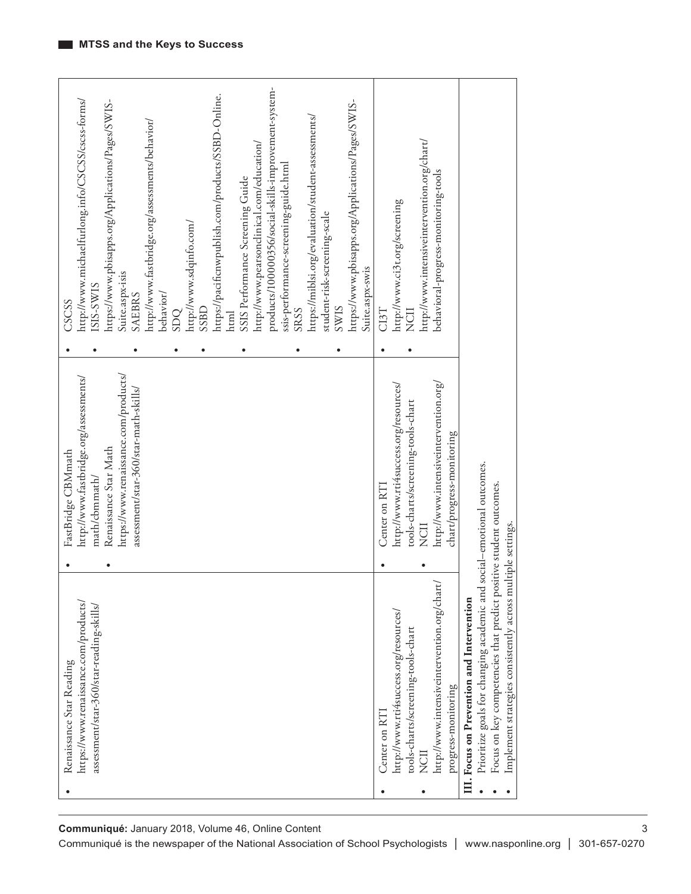| products/100000356/social-skills-improvement-system-<br>https://pacificnwpublish.com/products/SSBD-Online.<br>http://www.michaelfurlong.info/CSCSS/cscs-forms/<br>https://www.pbisapps.org/Applications/Pages/SWIS-<br>https://www.pbisapps.org/Applications/Pages/SWIS-<br>https://miblsi.org/evaluation/student-assessments/<br>http://www.fastbridge.org/assessments/behavior/<br>http://www.pearsonclinical.com/education/<br>ssis-performance-screening-guide.html<br>SSIS Performance Screening Guide<br>student-risk-screening-scale<br>http://www.sdqinfo.com/<br>Suite.aspx-swis<br>Suite.aspx-isis<br>ISIS-SWIS<br>behavior/<br><b>SAEBRS</b><br>CSCSS<br><b>SWIS</b><br><b>SRSS</b><br>SSBD<br>SDQ<br>html<br>٠<br>٠ | http://www.intensiveintervention.org/chart/<br>behavioral-progress-monitoring-tools<br>http://www.ci3t.org/screening<br>CI3T<br>NCII<br>$\bullet$                                                                                                                                                                                                                                                          |
|---------------------------------------------------------------------------------------------------------------------------------------------------------------------------------------------------------------------------------------------------------------------------------------------------------------------------------------------------------------------------------------------------------------------------------------------------------------------------------------------------------------------------------------------------------------------------------------------------------------------------------------------------------------------------------------------------------------------------------|------------------------------------------------------------------------------------------------------------------------------------------------------------------------------------------------------------------------------------------------------------------------------------------------------------------------------------------------------------------------------------------------------------|
|                                                                                                                                                                                                                                                                                                                                                                                                                                                                                                                                                                                                                                                                                                                                 |                                                                                                                                                                                                                                                                                                                                                                                                            |
| https://www.renaissance.com/products/<br>http://www.fastbridge.org/assessments/<br>assessment/star-360/star-math-skills/<br>Renaissance Star Math<br>FastBridge CBMmath<br>math/cbmmath/                                                                                                                                                                                                                                                                                                                                                                                                                                                                                                                                        | http://www.intensiveintervention.org/<br>http://www.rti4success.org/resources/<br>tools-charts/screening-tools-chart<br>chart/progress-monitoring<br>social-emotional outcomes.<br>Center on RT1<br>NCII<br>ultiple settings.                                                                                                                                                                              |
| $\bullet$                                                                                                                                                                                                                                                                                                                                                                                                                                                                                                                                                                                                                                                                                                                       | $\bullet$                                                                                                                                                                                                                                                                                                                                                                                                  |
| https://www.renaissance.com/products/<br>assessment/star-360/star-reading-skills/<br>Renaissance Star Reading                                                                                                                                                                                                                                                                                                                                                                                                                                                                                                                                                                                                                   | Focus on key competencies that predict positive student outcomes.<br>⊅<br>Prioritize goals for changing academic and<br>http://www.intensiveintervention.org/char<br>Implement strategies consistently across m<br>Focus on Prevention and Intervention<br>http://www.rti4success.org/resources/<br>tools-charts/screening-tools-chart<br>progress-monitoring<br>Center on RT1<br>NCII<br>ΠI.<br>$\bullet$ |

3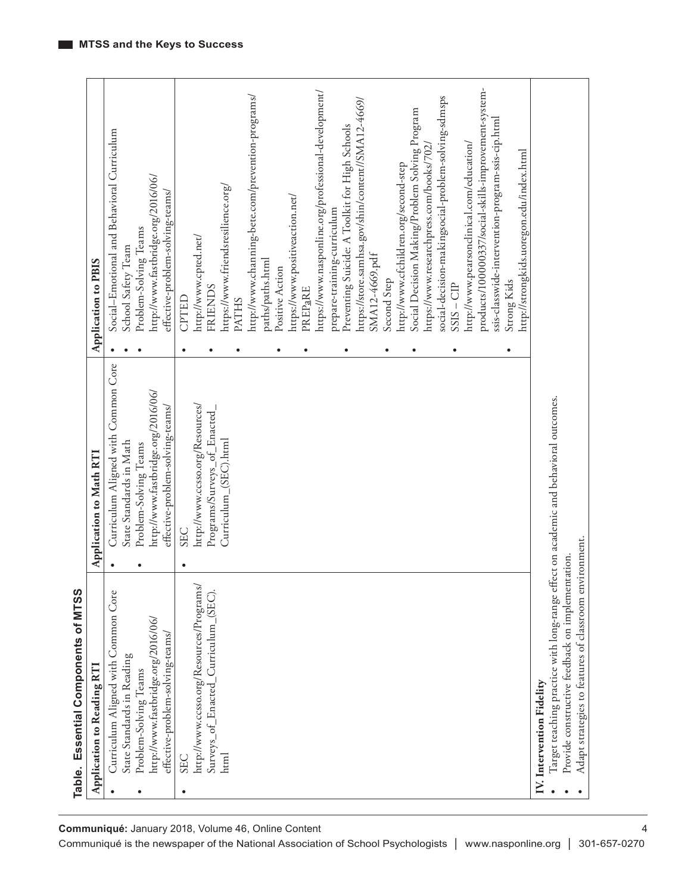|           | Core<br>Common<br>Curriculum Aligned with                                                                                                | Curriculum Aligned with Common Core<br>$\bullet$ | Social-Emotional and Behavioral Curriculum<br>$\bullet$ |
|-----------|------------------------------------------------------------------------------------------------------------------------------------------|--------------------------------------------------|---------------------------------------------------------|
|           | State Standards in Reading                                                                                                               | State Standards in Math                          | School Safety Team                                      |
|           | Problem-Solving Teams                                                                                                                    | Problem-Solving Teams<br>$\bullet$               | Problem-Solving Teams                                   |
|           | http://www.fastbridge.org/2016/06/                                                                                                       | http://www.fastbridge.org/2016/06/               | http://www.fastbridge.org/2016/06/                      |
|           | effective-problem-solving-teams/                                                                                                         | effective-problem-solving-teams/                 | effective-problem-solving-teams/                        |
| $\bullet$ | <b>SEC</b>                                                                                                                               | <b>SEC</b><br>$\bullet$                          | CPTED<br>$\bullet$                                      |
|           | http://www.ccsso.org/Resources/Programs/                                                                                                 | http://www.ccsso.org/Resources/                  | http://www.cpted.net/                                   |
|           | Enacted Curriculum (SEC)<br>Surveys_of                                                                                                   | Programs/Surveys_of_Enacted                      | <b>FRIENDS</b><br>٠                                     |
|           | html                                                                                                                                     | Curriculum_(SEC).html                            | https://www.friendsresilience.org/                      |
|           |                                                                                                                                          |                                                  | <b>PATHS</b><br>$\bullet$                               |
|           |                                                                                                                                          |                                                  | http://www.channing-bete.com/prevention-programs/       |
|           |                                                                                                                                          |                                                  | paths/paths.html                                        |
|           |                                                                                                                                          |                                                  | Positive Action<br>$\bullet$                            |
|           |                                                                                                                                          |                                                  | https://www.positiveaction.net/                         |
|           |                                                                                                                                          |                                                  | PREPaRE<br>$\bullet$                                    |
|           |                                                                                                                                          |                                                  | https://www.nasponline.org/professional-development/    |
|           |                                                                                                                                          |                                                  | prepare-training-curriculum                             |
|           |                                                                                                                                          |                                                  | Preventing Suicide: A Toolkit for High Schools<br>٠     |
|           |                                                                                                                                          |                                                  | https://store.samhsa.gov/shin/content//SMA12-4669/      |
|           |                                                                                                                                          |                                                  | SMA12-4669.pdf                                          |
|           |                                                                                                                                          |                                                  | Second Step<br>$\bullet$                                |
|           |                                                                                                                                          |                                                  | http://www.cfchildren.org/second-step                   |
|           |                                                                                                                                          |                                                  | Social Decision Making/Problem Solving Program<br>٠     |
|           |                                                                                                                                          |                                                  | https://www.researchpress.com/books/7021                |
|           |                                                                                                                                          |                                                  | social-decision-makingsocial-problem-solving-sdmsps     |
|           |                                                                                                                                          |                                                  | $SSIS - CIP$<br>٠                                       |
|           |                                                                                                                                          |                                                  | http://www.pearsonclinical.com/education/               |
|           |                                                                                                                                          |                                                  | products/100000337/social-skills-improvement-system-    |
|           |                                                                                                                                          |                                                  | ssis-classwide-intervention-program-ssis-cip.html       |
|           |                                                                                                                                          |                                                  | Strong Kids<br>$\bullet$                                |
|           |                                                                                                                                          |                                                  | http://strongkids.uoregon.edu/index.html                |
|           | IV. Intervention Fidelity                                                                                                                |                                                  |                                                         |
|           | Target teaching practice with long-range effect on academic and behavioral outcomes.<br>Provide constructive feedback on implementation. |                                                  |                                                         |
|           |                                                                                                                                          |                                                  |                                                         |
|           | Adapt strategies to features of classroom environment.                                                                                   |                                                  |                                                         |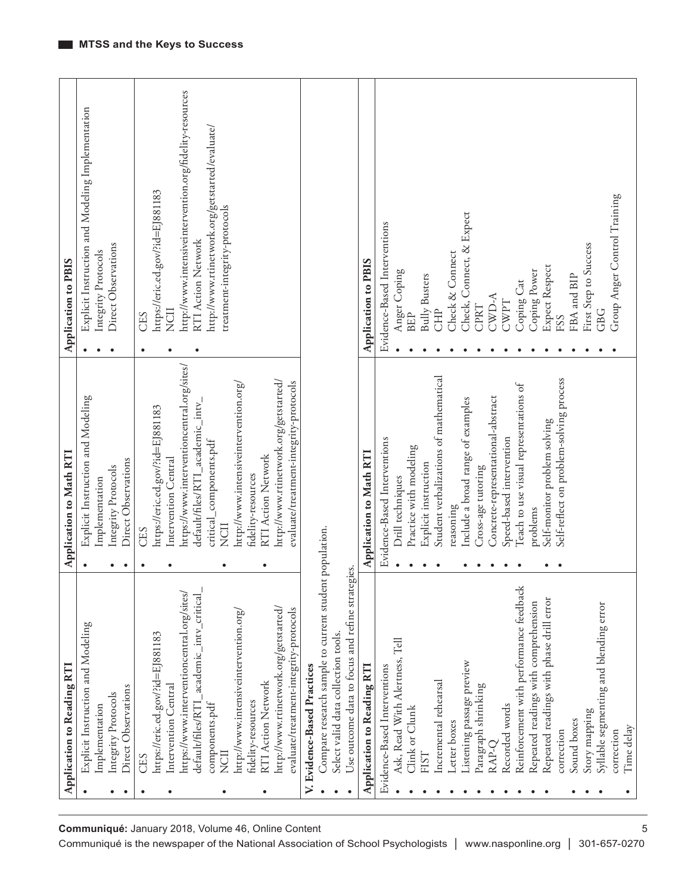|                                                     | Application to Reading RT1                       | Application to Math RT1                        | Application to PBIS                                           |
|-----------------------------------------------------|--------------------------------------------------|------------------------------------------------|---------------------------------------------------------------|
|                                                     | Explicit Instruction and Modeling<br>$\bullet$   | Explicit Instruction and Modeling<br>$\bullet$ | Explicit Instruction and Modeling Implementation<br>$\bullet$ |
|                                                     | Implementation                                   | Implementation                                 | Integrity Protocols                                           |
|                                                     | Integrity Protocols<br>$\bullet$                 | Integrity Protocols                            | Direct Observations                                           |
|                                                     | Direct Observations<br>٠                         | Direct Observations<br>$\bullet$               |                                                               |
|                                                     | CES<br>٠                                         | CES<br>٠                                       | CES                                                           |
|                                                     | https://eric.ed.gov/?id=EJ881183                 | https://eric.ed.gov/?id=EJ881183               | https://eric.ed.gov/?id=EJ881183                              |
|                                                     | Intervention Central                             | Intervention Central                           | NCII                                                          |
|                                                     | https://www.interventioncentral.org/sites/       | https://www.interventioncentral.org/sites/     | http://www.intensiveintervention.org/fidelity-resources       |
|                                                     | academic_intv_critical<br>default/files/RTI      | default/files/RTI_academic_intv_               | <b>RTI Action Network</b>                                     |
|                                                     | components.pdf                                   | critical_components.pdf                        | http://www.rtinetwork.org/getstarted/evaluate/                |
|                                                     | NCII                                             | NCII                                           | treatment-integrity-protocols                                 |
|                                                     | http://www.intensiveintervention.org/            | http://www.intensiveintervention.org/          |                                                               |
|                                                     | fidelity-resources                               | fidelity-resources                             |                                                               |
|                                                     | RTI Action Network                               | RTI Action Network                             |                                                               |
| Communiqué: January 2018, Volume 46, Online Content | http://www.rtinetwork.org/getstarted/            | http://www.rtinetwork.org/getstarted/          |                                                               |
|                                                     | evaluate/treatment-integrity-protocols           | evaluate/treatment-integrity-protocols         |                                                               |
|                                                     | V. Evidence-Based Practices                      |                                                |                                                               |
|                                                     | Compare research sample to current student       | population.                                    |                                                               |
|                                                     | Select valid data collection tools.              |                                                |                                                               |
|                                                     | Use outcome data to focus and refine strategies. |                                                |                                                               |
|                                                     | Application to Reading RTI                       | Application to Math RTI                        | Application to PBIS                                           |
|                                                     | Evidence-Based Interventions                     | Evidence-Based Interventions                   | Evidence-Based Interventions                                  |
|                                                     | Ask, Read With Alertness, Tell                   | Drill techniques                               | Anger Coping                                                  |
|                                                     | Clink or Clunk                                   | Practice with modeling                         | <b>BEP</b>                                                    |
|                                                     | <b>FIST</b>                                      | Explicit instruction                           | <b>Bully Busters</b>                                          |
|                                                     | Incremental rehearsal                            | Student verbalizations of mathematical         | <b>CHP</b>                                                    |
|                                                     | Letter boxes                                     | reasoning                                      | Check & Connect                                               |
|                                                     | Listening passage preview                        | Include a broad range of examples              | Check, Connect, & Expect                                      |
|                                                     | Paragraph shrinking                              | Cross-age tutoring                             | CPRT                                                          |
|                                                     | RAP-Q                                            | Concrete-representational-abstract             | A-CWD-A                                                       |
|                                                     | Recorded words                                   | Speed-based intervention                       | CWPT                                                          |
|                                                     | Reinforcement with performance feedback          | Teach to use visual representations of         | Coping Cat                                                    |
|                                                     | Repeated readings with comprehension             | problems                                       | Coping Power                                                  |
|                                                     | Repeated readings with phase drill error         | Self-monitor problem solving                   | Expect Respect                                                |
|                                                     | correction                                       | Self-reflect on problem-solving process        | FSS                                                           |
|                                                     | Sound boxes                                      |                                                | FBA and BIP                                                   |
|                                                     | Story mapping                                    |                                                | First Step to Success                                         |
|                                                     | Syllable segmenting and blending error           |                                                | GBG                                                           |
|                                                     | correction                                       |                                                | Group Anger Control Training                                  |
|                                                     | Time delay                                       |                                                |                                                               |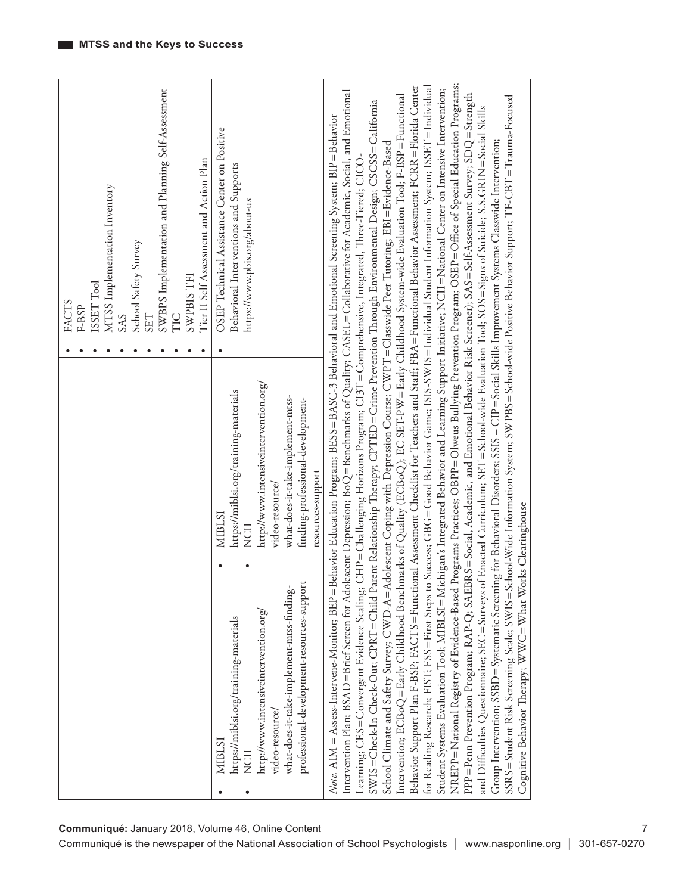| SWBPS Implementation and Planning Self-Assessment<br>Tier II Self Assessment and Action Plan<br>MTSS Implementation Inventory<br>School Safety Survey<br><b>SWPBISTFI</b><br>ISSET Tool<br>FACTS<br>F-BSP<br><b>SAS</b><br><b>SET</b><br>ПC | OSEP Technical Assistance Center on Positive<br>Behavioral Interventions and Supports<br>https://www.pbis.org/about-us                                                                                                         | Programs Practices; OBPP=Olweus Bullying Prevention Program; OSEP=Office of Special Education Programs;<br>for Reading Research; FIST; FSS=First Steps to Success; GBG=Good Behavior Game; ISIS-SWIS=Individual Student Information System; ISSET=Individual<br>Behavior Support Plan F-BSP; FACTS=Functional Assessment Checklist for Teachers and Staff; FBA=Functional Behavior Assessment; FCRR=Florida Center<br>ichigan's Integrated Behavior and Learning Support Initiative; NCII=National Center on Intensive Intervention;<br>Intervention Plan; BSAD = Brief Screen for Adolescent Depression; BoQ=Benchmarks of Quality; CASEL=Collaborative for Academic, Social, and Emotional<br>Intervention; ECBoQ=Early Childhood Benchmarks of Quality (ECBoQ); EC SET-PW=Early Childhood System-wide Evaluation Tool; F-BSP=Functional<br>BRS=Social, Academic, and Emotional Behavior Risk Screener); SAS=Self-Assessment Survey; SDQ=Strength<br>SSRS=Student Risk Screening Scale; SWIS=School-Wide Information System; SWPBS=School-wide Positive Behavior Support; TF-CBT=Trauma-Focused<br>SWIS=Check-In Check-Out; CPRT=Child Parent Relationship Therapy; CPTED=Crime Prevention Through Environmental Design; CSCSS=California<br>and Difficulties Questionnaire; SEC=Surveys of Enacted Curriculum; SET=School-wide Evaluation Tool; SOS=Signs of Suicide; S.S.GRIN=Social Skills<br>Behavior Education Program; BESS = BASC-3 Behavioral and Emotional Screening System; BIP = Behavior |              |
|---------------------------------------------------------------------------------------------------------------------------------------------------------------------------------------------------------------------------------------------|--------------------------------------------------------------------------------------------------------------------------------------------------------------------------------------------------------------------------------|--------------------------------------------------------------------------------------------------------------------------------------------------------------------------------------------------------------------------------------------------------------------------------------------------------------------------------------------------------------------------------------------------------------------------------------------------------------------------------------------------------------------------------------------------------------------------------------------------------------------------------------------------------------------------------------------------------------------------------------------------------------------------------------------------------------------------------------------------------------------------------------------------------------------------------------------------------------------------------------------------------------------------------------------------------------------------------------------------------------------------------------------------------------------------------------------------------------------------------------------------------------------------------------------------------------------------------------------------------------------------------------------------------------------------------------------------------------------------------------------------------|--------------|
|                                                                                                                                                                                                                                             | http://www.intensiveintervention.org/<br>https://miblsi.org/training-materials<br>what-does-it-take-implement-mtss-<br>finding-professional-development-<br>resources-support<br>video-resource/<br><b>MIBLSI</b><br>NCII<br>٠ | CHP=Challenging Horizons Program; CI3T=Comprehensive, Integrated, Three-Tiered; CICO<br>orks Clearinghouse                                                                                                                                                                                                                                                                                                                                                                                                                                                                                                                                                                                                                                                                                                                                                                                                                                                                                                                                                                                                                                                                                                                                                                                                                                                                                                                                                                                             |              |
|                                                                                                                                                                                                                                             | professional-development-resources-support<br>what-does-it-take-implement-mtss-finding.<br>http://www.intensiveintervention.org.<br>https://miblsi.org/training-materials<br>video-resource/<br><b>MIBLSI</b><br>NCII<br>٠     | Group Intervention; SSBD=Systematic Screening for Behavioral Disorders; SSIS - CIP=Social Skills Improvement Systems Classwide Intervention;<br>School Climate and Safety Survey; CWD-A=Adolescent Coping with Depression Course; CWPT=Classwide Peer Tutoring; EBI=Evidence-Based<br>Learning; CES=Convergent Evidence Scaling;<br>NREPP=National Registry of Evidence-Based<br>PPP=Penn Prevention Program; RAP-Q; SAE<br>Cognitive Behavior Therapy; WWC=What W<br>Student Systems Evaluation Tool; MIBLSI=M<br>$Note. AIM = Assess-Intervene-Monitor; BEP =$                                                                                                                                                                                                                                                                                                                                                                                                                                                                                                                                                                                                                                                                                                                                                                                                                                                                                                                                       |              |
| Communiqué: January 2018, Volume 46, Online Content<br>Communiqué is the newspaper of the National Association of School Psychologists                                                                                                      |                                                                                                                                                                                                                                | www.nasponline.org                                                                                                                                                                                                                                                                                                                                                                                                                                                                                                                                                                                                                                                                                                                                                                                                                                                                                                                                                                                                                                                                                                                                                                                                                                                                                                                                                                                                                                                                                     | 301-657-0270 |

7